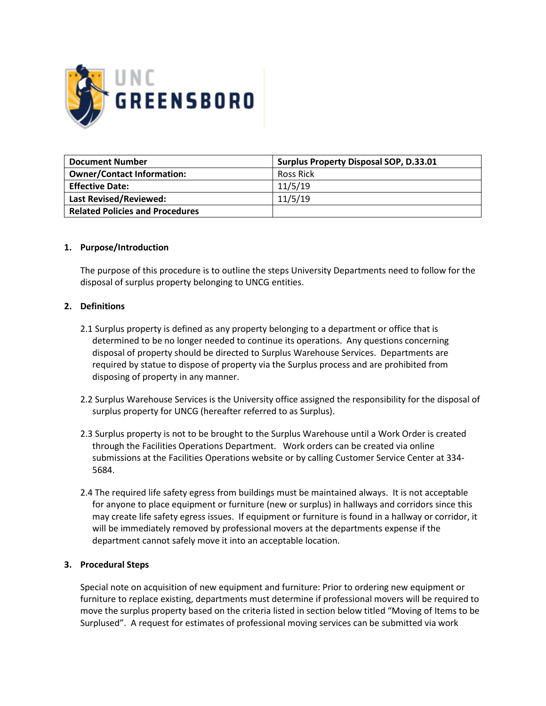

| <b>Document Number</b>                 | <b>Surplus Property Disposal SOP, D.33.01</b> |  |
|----------------------------------------|-----------------------------------------------|--|
| <b>Owner/Contact Information:</b>      | Ross Rick                                     |  |
| <b>Effective Date:</b>                 | 11/5/19                                       |  |
| <b>Last Revised/Reviewed:</b>          | 11/5/19                                       |  |
| <b>Related Policies and Procedures</b> |                                               |  |

# **1. Purpose/Introduction**

The purpose of this procedure is to outline the steps University Departments need to follow for the disposal of surplus property belonging to UNCG entities.

# **2. Definitions**

- 2.1 Surplus property is defined as any property belonging to a department or office that is determined to be no longer needed to continue its operations. Any questions concerning disposal of property should be directed to Surplus Warehouse Services. Departments are required by statue to dispose of property via the Surplus process and are prohibited from disposing of property in any manner.
- 2.2 Surplus Warehouse Services is the University office assigned the responsibility for the disposal of surplus property for UNCG (hereafter referred to as Surplus).
- 2.3 Surplus property is not to be brought to the Surplus Warehouse until a Work Order is created through the Facilities Operations Department. Work orders can be created via online submissions at the Facilities Operations website or by calling Customer Service Center at 334- 5684.
- 2.4 The required life safety egress from buildings must be maintained always. It is not acceptable for anyone to place equipment or furniture (new or surplus) in hallways and corridors since this may create life safety egress issues. If equipment or furniture is found in a hallway or corridor, it will be immediately removed by professional movers at the departments expense if the department cannot safely move it into an acceptable location.

## **3. Procedural Steps**

Special note on acquisition of new equipment and furniture: Prior to ordering new equipment or furniture to replace existing, departments must determine if professional movers will be required to move the surplus property based on the criteria listed in section below titled "Moving of Items to be Surplused". A request for estimates of professional moving services can be submitted via work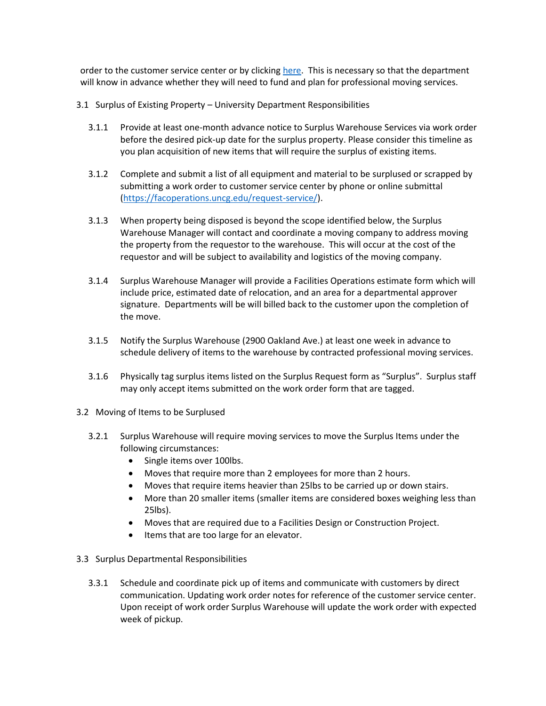order to the customer service center or by clicking [here.](https://facoperations.uncg.edu/request-service/) This is necessary so that the department will know in advance whether they will need to fund and plan for professional moving services.

- 3.1 Surplus of Existing Property University Department Responsibilities
	- 3.1.1 Provide at least one-month advance notice to Surplus Warehouse Services via work order before the desired pick-up date for the surplus property. Please consider this timeline as you plan acquisition of new items that will require the surplus of existing items.
	- 3.1.2 Complete and submit a list of all equipment and material to be surplused or scrapped by submitting a work order to customer service center by phone or online submittal [\(https://facoperations.uncg.edu/request-service/\)](https://facoperations.uncg.edu/request-service/).
	- 3.1.3 When property being disposed is beyond the scope identified below, the Surplus Warehouse Manager will contact and coordinate a moving company to address moving the property from the requestor to the warehouse. This will occur at the cost of the requestor and will be subject to availability and logistics of the moving company.
	- 3.1.4 Surplus Warehouse Manager will provide a Facilities Operations estimate form which will include price, estimated date of relocation, and an area for a departmental approver signature. Departments will be will billed back to the customer upon the completion of the move.
	- 3.1.5 Notify the Surplus Warehouse (2900 Oakland Ave.) at least one week in advance to schedule delivery of items to the warehouse by contracted professional moving services.
	- 3.1.6 Physically tag surplus items listed on the Surplus Request form as "Surplus". Surplus staff may only accept items submitted on the work order form that are tagged.
- 3.2 Moving of Items to be Surplused
	- 3.2.1 Surplus Warehouse will require moving services to move the Surplus Items under the following circumstances:
		- Single items over 100lbs.
		- Moves that require more than 2 employees for more than 2 hours.
		- Moves that require items heavier than 25lbs to be carried up or down stairs.
		- More than 20 smaller items (smaller items are considered boxes weighing less than 25lbs).
		- Moves that are required due to a Facilities Design or Construction Project.
		- Items that are too large for an elevator.
- 3.3 Surplus Departmental Responsibilities
	- 3.3.1 Schedule and coordinate pick up of items and communicate with customers by direct communication. Updating work order notes for reference of the customer service center. Upon receipt of work order Surplus Warehouse will update the work order with expected week of pickup.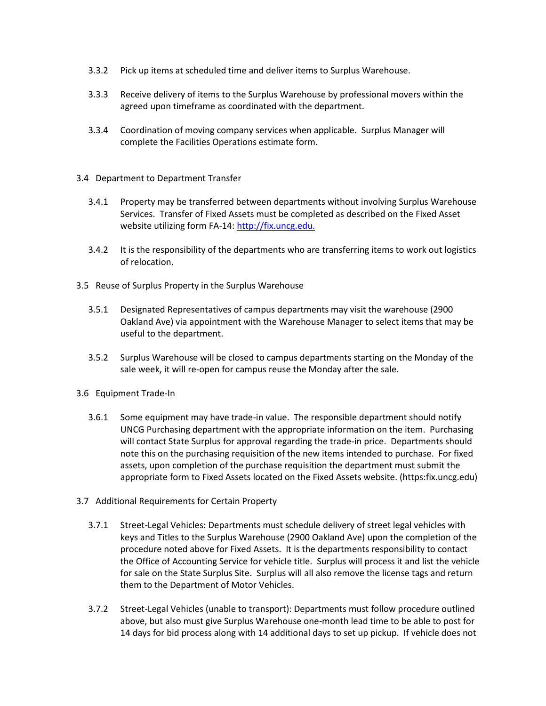- 3.3.2 Pick up items at scheduled time and deliver items to Surplus Warehouse.
- 3.3.3 Receive delivery of items to the Surplus Warehouse by professional movers within the agreed upon timeframe as coordinated with the department.
- 3.3.4 Coordination of moving company services when applicable. Surplus Manager will complete the Facilities Operations estimate form.
- 3.4 Department to Department Transfer
	- 3.4.1 Property may be transferred between departments without involving Surplus Warehouse Services. Transfer of Fixed Assets must be completed as described on the Fixed Asset website utilizing form FA-14[: http://fix.uncg.edu.](http://fix.uncg.edu/)
	- 3.4.2 It is the responsibility of the departments who are transferring items to work out logistics of relocation.
- 3.5 Reuse of Surplus Property in the Surplus Warehouse
	- 3.5.1 Designated Representatives of campus departments may visit the warehouse (2900 Oakland Ave) via appointment with the Warehouse Manager to select items that may be useful to the department.
	- 3.5.2 Surplus Warehouse will be closed to campus departments starting on the Monday of the sale week, it will re-open for campus reuse the Monday after the sale.
- 3.6 Equipment Trade-In
	- 3.6.1 Some equipment may have trade-in value. The responsible department should notify UNCG Purchasing department with the appropriate information on the item. Purchasing will contact State Surplus for approval regarding the trade-in price. Departments should note this on the purchasing requisition of the new items intended to purchase. For fixed assets, upon completion of the purchase requisition the department must submit the appropriate form to Fixed Assets located on the Fixed Assets website. (https:fix.uncg.edu)
- 3.7 Additional Requirements for Certain Property
	- 3.7.1 Street-Legal Vehicles: Departments must schedule delivery of street legal vehicles with keys and Titles to the Surplus Warehouse (2900 Oakland Ave) upon the completion of the procedure noted above for Fixed Assets. It is the departments responsibility to contact the Office of Accounting Service for vehicle title. Surplus will process it and list the vehicle for sale on the State Surplus Site. Surplus will all also remove the license tags and return them to the Department of Motor Vehicles.
	- 3.7.2 Street-Legal Vehicles (unable to transport): Departments must follow procedure outlined above, but also must give Surplus Warehouse one-month lead time to be able to post for 14 days for bid process along with 14 additional days to set up pickup. If vehicle does not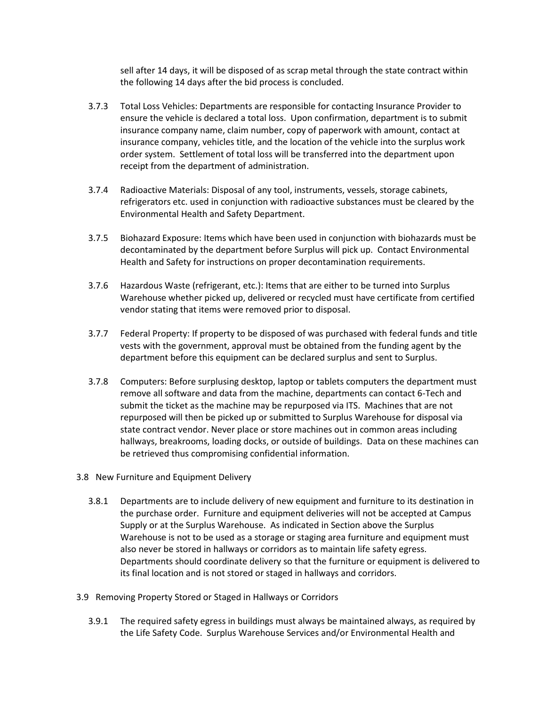sell after 14 days, it will be disposed of as scrap metal through the state contract within the following 14 days after the bid process is concluded.

- 3.7.3 Total Loss Vehicles: Departments are responsible for contacting Insurance Provider to ensure the vehicle is declared a total loss. Upon confirmation, department is to submit insurance company name, claim number, copy of paperwork with amount, contact at insurance company, vehicles title, and the location of the vehicle into the surplus work order system. Settlement of total loss will be transferred into the department upon receipt from the department of administration.
- 3.7.4 Radioactive Materials: Disposal of any tool, instruments, vessels, storage cabinets, refrigerators etc. used in conjunction with radioactive substances must be cleared by the Environmental Health and Safety Department.
- 3.7.5 Biohazard Exposure: Items which have been used in conjunction with biohazards must be decontaminated by the department before Surplus will pick up. Contact Environmental Health and Safety for instructions on proper decontamination requirements.
- 3.7.6 Hazardous Waste (refrigerant, etc.): Items that are either to be turned into Surplus Warehouse whether picked up, delivered or recycled must have certificate from certified vendor stating that items were removed prior to disposal.
- 3.7.7 Federal Property: If property to be disposed of was purchased with federal funds and title vests with the government, approval must be obtained from the funding agent by the department before this equipment can be declared surplus and sent to Surplus.
- 3.7.8 Computers: Before surplusing desktop, laptop or tablets computers the department must remove all software and data from the machine, departments can contact 6-Tech and submit the ticket as the machine may be repurposed via ITS. Machines that are not repurposed will then be picked up or submitted to Surplus Warehouse for disposal via state contract vendor. Never place or store machines out in common areas including hallways, breakrooms, loading docks, or outside of buildings. Data on these machines can be retrieved thus compromising confidential information.
- 3.8 New Furniture and Equipment Delivery
	- 3.8.1 Departments are to include delivery of new equipment and furniture to its destination in the purchase order. Furniture and equipment deliveries will not be accepted at Campus Supply or at the Surplus Warehouse. As indicated in Section above the Surplus Warehouse is not to be used as a storage or staging area furniture and equipment must also never be stored in hallways or corridors as to maintain life safety egress. Departments should coordinate delivery so that the furniture or equipment is delivered to its final location and is not stored or staged in hallways and corridors.
- 3.9 Removing Property Stored or Staged in Hallways or Corridors
	- 3.9.1 The required safety egress in buildings must always be maintained always, as required by the Life Safety Code. Surplus Warehouse Services and/or Environmental Health and